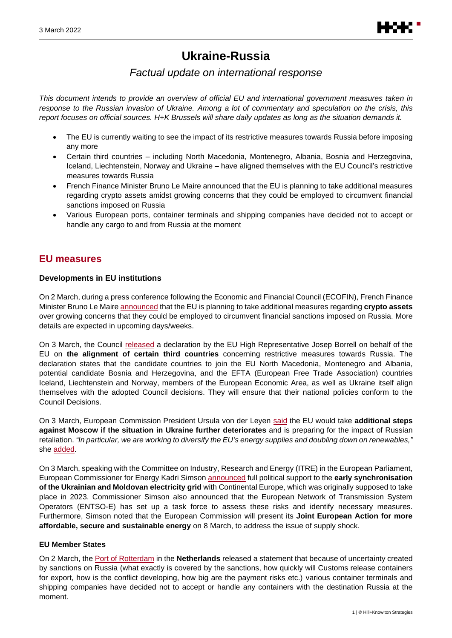

# **Ukraine-Russia**

# *Factual update on international response*

*This document intends to provide an overview of official EU and international government measures taken in response to the Russian invasion of Ukraine. Among a lot of commentary and speculation on the crisis, this report focuses on official sources. H+K Brussels will share daily updates as long as the situation demands it.*

- The EU is currently waiting to see the impact of its restrictive measures towards Russia before imposing any more
- Certain third countries including North Macedonia, Montenegro, Albania, Bosnia and Herzegovina, Iceland, Liechtenstein, Norway and Ukraine – have aligned themselves with the EU Council's restrictive measures towards Russia
- French Finance Minister Bruno Le Maire announced that the EU is planning to take additional measures regarding crypto assets amidst growing concerns that they could be employed to circumvent financial sanctions imposed on Russia
- Various European ports, container terminals and shipping companies have decided not to accept or handle any cargo to and from Russia at the moment

# **EU measures**

# **Developments in EU institutions**

On 2 March, during a press conference following the Economic and Financial Council (ECOFIN), French Finance Minister Bruno Le Maire [announced](https://twitter.com/Economie_Gouv/status/1499072727818379273?s=20&t=8e2-BD1q_QYQY2IRUyyCyQ) that the EU is planning to take additional measures regarding **crypto assets** over growing concerns that they could be employed to circumvent financial sanctions imposed on Russia. More details are expected in upcoming days/weeks.

On 3 March, the Council [released](https://www.consilium.europa.eu/en/press/press-releases/2022/03/03/declaration-by-the-high-representative-on-behalf-of-the-eu-on-the-alignment-of-certain-third-countries-concerning-restrictive-measures-in-view-of-russia-s-actions-destabilizing-the-situation-in-ukraine/) a declaration by the EU High Representative Josep Borrell on behalf of the EU on **the alignment of certain third countries** concerning restrictive measures towards Russia. The declaration states that the candidate countries to join the EU North Macedonia, Montenegro and Albania, potential candidate Bosnia and Herzegovina, and the EFTA (European Free Trade Association) countries Iceland, Liechtenstein and Norway, members of the European Economic Area, as well as Ukraine itself align themselves with the adopted Council decisions. They will ensure that their national policies conform to the Council Decisions.

On 3 March, European Commission President Ursula von der Leyen [said](https://twitter.com/vonderleyen/status/1499378388842303491) the EU would take **additional steps against Moscow if the situation in Ukraine further deteriorates** and is preparing for the impact of Russian retaliation. *"In particular, we are working to diversify the EU's energy supplies and doubling down on renewables,"* she [added.](https://twitter.com/vonderleyen/status/1499379204206510085)

On 3 March, speaking with the Committee on Industry, Research and Energy (ITRE) in the European Parliament, European Commissioner for Energy Kadri Simson [announced](https://ec.europa.eu/commission/presscorner/detail/en/SPEECH_22_1525) full political support to the **early synchronisation of the Ukrainian and Moldovan electricity grid** with Continental Europe, which was originally supposed to take place in 2023. Commissioner Simson also announced that the European Network of Transmission System Operators (ENTSO-E) has set up a task force to assess these risks and identify necessary measures. Furthermore, Simson noted that the European Commission will present its **Joint European Action for more affordable, secure and sustainable energy** on 8 March, to address the issue of supply shock.

# **EU Member States**

On 2 March, the [Port of Rotterdam](https://www.portofrotterdam.com/en/news-and-press-releases/impact-of-russia-ukraine-conflict-on-port-of-rotterdam) in the **Netherlands** released a statement that because of uncertainty created by sanctions on Russia (what exactly is covered by the sanctions, how quickly will Customs release containers for export, how is the conflict developing, how big are the payment risks etc.) various container terminals and shipping companies have decided not to accept or handle any containers with the destination Russia at the moment.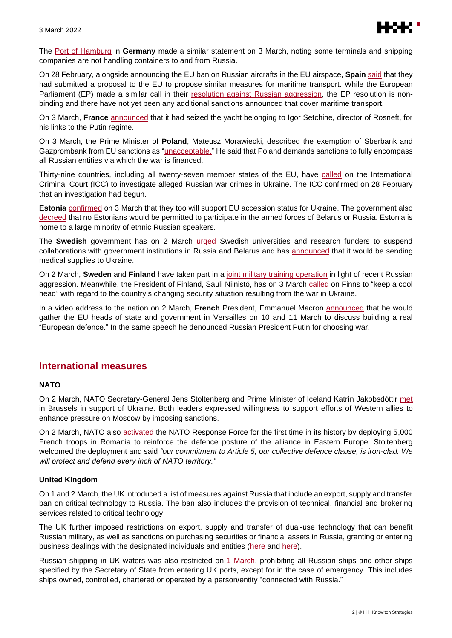

The [Port of Hamburg](https://www.hafen-hamburg.de/en/press/news/port-of-hamburg-implements-sanctions/) in **Germany** made a similar statement on 3 March, noting some terminals and shipping companies are not handling containers to and from Russia.

On 28 February, alongside announcing the EU ban on Russian aircrafts in the EU airspace, **Spain** [said](https://www.mitma.gob.es/el-ministerio/sala-de-prensa/noticias/lun-28022022-0827) that they had submitted a proposal to the EU to propose similar measures for maritime transport. While the European Parliament (EP) made a similar call in their [resolution against Russian aggression,](https://www.europarl.europa.eu/doceo/document/TA-9-2022-03-01_EN.html) the EP resolution is nonbinding and there have not yet been any additional sanctions announced that cover maritime transport.

On 3 March, **France** [announced](https://presse.economie.gouv.fr/03-03-2022-saisie-du-yacht-amore-vero/) that it had seized the yacht belonging to Igor Setchine, director of Rosneft, for his links to the Putin regime.

On 3 March, the Prime Minister of **Poland**, Mateusz Morawiecki, described the exemption of Sberbank and Gazprombank from EU sanctions as ["unacceptable.](https://twitter.com/MorawieckiM/status/1499131916460736512)" He said that Poland demands sanctions to fully encompass all Russian entities via which the war is financed.

Thirty-nine countries, including all twenty-seven member states of the EU, have [called](https://www.icc-cpi.int/Pages/item.aspx?name=2022-prosecutor-statement-referrals-ukraine) on the International Criminal Court (ICC) to investigate alleged Russian war crimes in Ukraine. The ICC confirmed on 28 February that an investigation had begun.

**Estonia** [confirmed](https://www.valitsus.ee/uudised/valitsus-toetab-ukrainale-kiire-ja-selge-eliga-liitumise-perspektiivi-andmist) on 3 March that they too will support EU accession status for Ukraine. The government also [decreed](https://www.valitsus.ee/uudised/valitsus-keelas-venemaa-ja-valgevene-relvajoudude-voi-relvastatud-uksuste-abistamise) that no Estonians would be permitted to participate in the armed forces of Belarus or Russia. Estonia is home to a large minority of ethnic Russian speakers.

The **Swedish** government has on 2 March [urged](https://www.regeringen.se/artiklar/2022/03/regeringen-uppmanar-svenska-larosaten-och-forskningsfinansiarer-att-avbryta-samarbeten-med-statliga-institutioner-i-ryssland-och-belarus/) Swedish universities and research funders to suspend collaborations with government institutions in Russia and Belarus and has [announced](https://www.regeringen.se/artiklar/2022/03/sverige-stottar-ukraina-med-sjukvardsmateriel/) that it would be sending medical supplies to Ukraine.

On 2 March, **Sweden** and **Finland** have taken part in a [joint military training operation](https://www.government.se/press-releases/2022/03/minister-for-defence-visited-joint-swedish-finnish-preparedness-exercise-in-the-baltic-sea/) in light of recent Russian aggression. Meanwhile, the President of Finland, Sauli Niinistö, has on 3 March [called](https://www.presidentti.fi/tiedote/tasavallan-presidentin-lausunto-kun-muutos-on-rajua-paan-on-pysyttava-kylmana/) on Finns to "keep a cool head" with regard to the country's changing security situation resulting from the war in Ukraine.

In a video address to the nation on 2 March, **French** President, Emmanuel Macron [announced](https://www.youtube.com/watch?v=UKZOs98-21w) that he would gather the EU heads of state and government in Versailles on 10 and 11 March to discuss building a real "European defence." In the same speech he denounced Russian President Putin for choosing war.

# **International measures**

# **NATO**

On 2 March, NATO Secretary-General Jens Stoltenberg and Prime Minister of Iceland Katrín Jakobsdóttir [met](https://www.nato.int/cps/en/natohq/news_192580.htm?selectedLocale=en) in Brussels in support of Ukraine. Both leaders expressed willingness to support efforts of Western allies to enhance pressure on Moscow by imposing sanctions.

On 2 March, NATO also [activated](https://www.nato.int/cps/en/natohq/news_192695.htm?selectedLocale=en) the NATO Response Force for the first time in its history by deploying 5,000 French troops in Romania to reinforce the defence posture of the alliance in Eastern Europe. Stoltenberg welcomed the deployment and said *"our commitment to Article 5, our collective defence clause, is iron-clad. We will protect and defend every inch of NATO territory."*

#### **United Kingdom**

On 1 and 2 March, the UK introduced a list of measures against Russia that include an export, supply and transfer ban on critical technology to Russia. The ban also includes the provision of technical, financial and brokering services related to critical technology.

The UK further imposed restrictions on export, supply and transfer of dual-use technology that can benefit Russian military, as well as sanctions on purchasing securities or financial assets in Russia, granting or entering business dealings with the designated individuals and entities [\(here](https://www.gov.uk/government/publications/notice-to-exporters-202204-introduction-of-new-sanctions-against-russia/nte-202204-introduction-of-new-sanctions-against-russia) and [here\)](https://www.legislation.gov.uk/uksi/2022/195/contents/made).

Russian shipping in UK waters was also restricted on [1 March,](https://www.legislation.gov.uk/uksi/2022/203/made) prohibiting all Russian ships and other ships specified by the Secretary of State from entering UK ports, except for in the case of emergency. This includes ships owned, controlled, chartered or operated by a person/entity "connected with Russia."